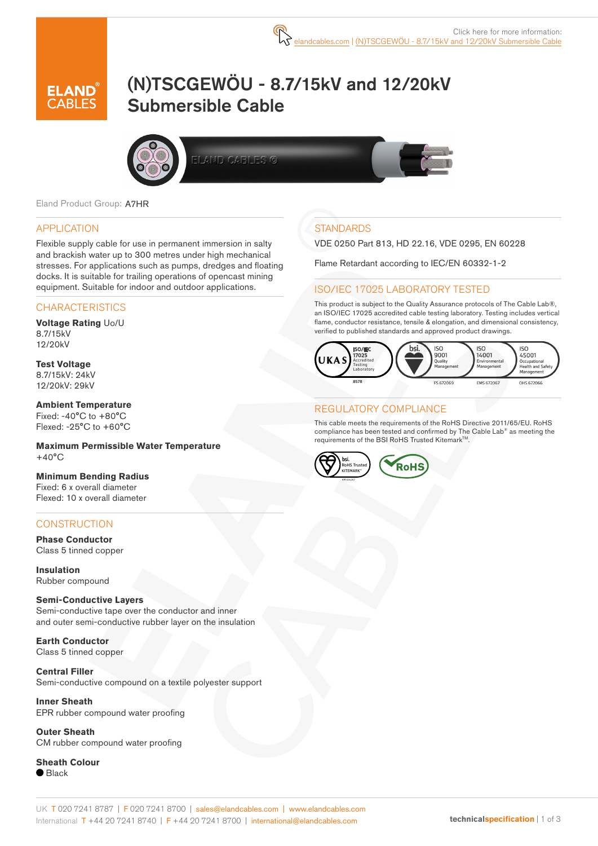

# (N)TSCGEWÖU - 8.7/15kV and 12/20kV Submersible Cable



ELAND CABLES G



#### APPLICATION

Flexible supply cable for use in permanent immersion in salty and brackish water up to 300 metres under high mechanical stresses. For applications such as pumps, dredges and floating docks. It is suitable for trailing operations of opencast mining equipment. Suitable for indoor and outdoor applications.

#### **CHARACTERISTICS**

**Voltage Rating** Uo/U 8.7/15kV 12/20kV

**Test Voltage** 8.7/15kV: 24kV 12/20kV: 29kV

**Ambient Temperature** Fixed:  $-40^{\circ}$ C to  $+80^{\circ}$ C Flexed: -25°C to +60°C

**Maximum Permissible Water Temperature**  $+40^{\circ}$ C

**Minimum Bending Radius** Fixed: 6 x overall diameter Flexed: 10 x overall diameter

#### **CONSTRUCTION**

**Phase Conductor** Class 5 tinned copper

**Insulation** Rubber compound

#### **Semi-Conductive Layers**

Semi-conductive tape over the conductor and inner and outer semi-conductive rubber layer on the insulation

**Earth Conductor** Class 5 tinned copper

**Central Filler** Semi-conductive compound on a textile polyester support

**Inner Sheath** EPR rubber compound water proofing

**Outer Sheath** CM rubber compound water proofing

**Sheath Colour**  $\bullet$  Black

## **STANDARDS**

VDE 0250 Part 813, HD 22.16, VDE 0295, EN 60228

Flame Retardant according to IEC/EN 60332-1-2

#### ISO/IEC 17025 LABORATORY TESTED

This product is subject to the Quality Assurance protocols of The Cable Lab®, an ISO/IEC 17025 accredited cable testing laboratory. Testing includes vertical flame, conductor resistance, tensile & elongation, and dimensional consistency, verified to published standards and approved product drawings.



#### REGULATORY COMPLIANCE

This cable meets the requirements of the RoHS Directive 2011/65/EU. RoHS compliance has been tested and confirmed by The Cable Lab® as meeting the requirements of the BSI RoHS Trusted Kitemark™.

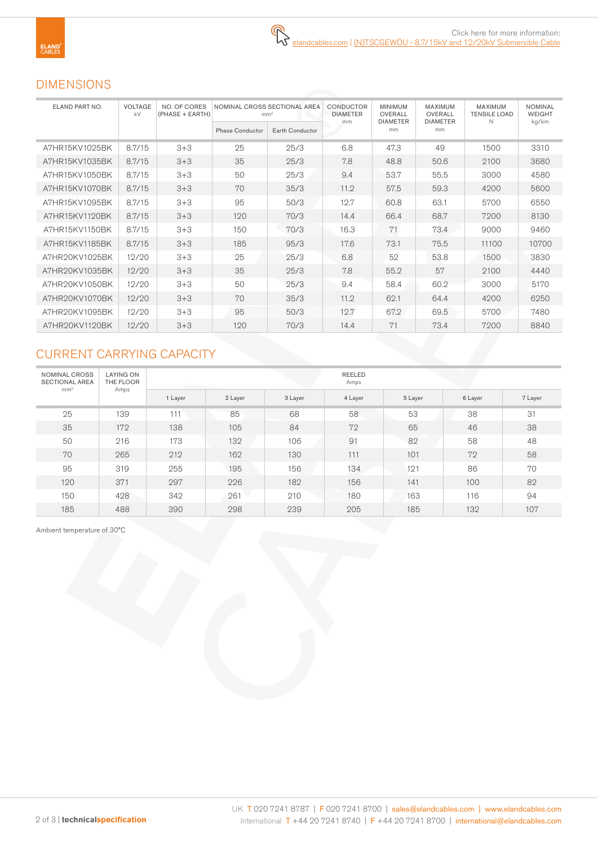# DIMENSIONS

| ELAND PART NO. | <b>VOLTAGE</b><br>kV | <b>NO. OF CORES</b><br>(PHASE + EARTH) | NOMINAL CROSS SECTIONAL AREA<br>mm <sup>2</sup> |                 | CONDUCTOR<br><b>DIAMETER</b> | <b>MINIMUM</b><br>OVERALL | <b>MAXIMUM</b><br>OVERALL | MAXIMUM<br><b>TENSILE LOAD</b> | <b>NOMINAL</b><br><b>WEIGHT</b> |  |
|----------------|----------------------|----------------------------------------|-------------------------------------------------|-----------------|------------------------------|---------------------------|---------------------------|--------------------------------|---------------------------------|--|
|                |                      |                                        | <b>Phase Conductor</b>                          | Earth Conductor | mm                           | <b>DIAMETER</b><br>mm     | <b>DIAMETER</b><br>mm     | N                              | kg/km                           |  |
| A7HR15KV1025BK | 8.7/15               | $3 + 3$                                | 25                                              | 25/3            | 6.8                          | 47.3                      | 49                        | 1500                           | 3310                            |  |
| A7HR15KV1035BK | 8.7/15               | $3 + 3$                                | 35                                              | 25/3            | 7.8                          | 48.8                      | 50.6                      | 2100                           | 3680                            |  |
| A7HR15KV1050BK | 8.7/15               | $3 + 3$                                | 50                                              | 25/3            | 9.4                          | 53.7                      | 55.5                      | 3000                           | 4580                            |  |
| A7HR15KV1070BK | 8.7/15               | $3 + 3$                                | 70                                              | 35/3            | 11.2                         | 57.5                      | 59.3                      | 4200                           | 5600                            |  |
| A7HR15KV1095BK | 8.7/15               | $3 + 3$                                | 95                                              | 50/3            | 12.7                         | 60.8                      | 63.1                      | 5700                           | 6550                            |  |
| A7HR15KV1120BK | 8.7/15               | $3 + 3$                                | 120                                             | 70/3            | 14.4                         | 66.4                      | 68.7                      | 7200                           | 8130                            |  |
| A7HR15KV1150BK | 8.7/15               | $3 + 3$                                | 150                                             | 70/3            | 16.3                         | 71                        | 73.4                      | 9000                           | 9460                            |  |
| A7HR15KV1185BK | 8.7/15               | $3 + 3$                                | 185                                             | 95/3            | 17.6                         | 73.1                      | 75.5                      | 11100                          | 10700                           |  |
| A7HR20KV1025BK | 12/20                | $3 + 3$                                | 25                                              | 25/3            | 6.8                          | 52                        | 53.8                      | 1500                           | 3830                            |  |
| A7HR20KV1035BK | 12/20                | $3 + 3$                                | 35                                              | 25/3            | 7.8                          | 55.2                      | 57                        | 2100                           | 4440                            |  |
| A7HR20KV1050BK | 12/20                | $3 + 3$                                | 50                                              | 25/3            | 9.4                          | 58.4                      | 60.2                      | 3000                           | 5170                            |  |
| A7HR20KV1070BK | 12/20                | $3 + 3$                                | 70                                              | 35/3            | 11.2                         | 62.1                      | 64.4                      | 4200                           | 6250                            |  |
| A7HR20KV1095BK | 12/20                | $3 + 3$                                | 95                                              | 50/3            | 12.7                         | 67.2                      | 69.5                      | 5700                           | 7480                            |  |
| A7HR20KV1120BK | 12/20                | $3 + 3$                                | 120                                             | 70/3            | 14.4                         | 71                        | 73.4                      | 7200                           | 8840                            |  |

# CURRENT CARRYING CAPACITY

| NOMINAL CROSS<br><b>SECTIONAL AREA</b><br>mm <sup>2</sup> | <b>LAYING ON</b><br>THE FLOOR<br>Amps |         |         |         | <b>REELED</b><br>Amps |         |         |         |  |  |
|-----------------------------------------------------------|---------------------------------------|---------|---------|---------|-----------------------|---------|---------|---------|--|--|
|                                                           |                                       | 1 Layer | 2 Layer | 3 Layer | 4 Layer               | 5 Layer | 6 Layer | 7 Layer |  |  |
| 25                                                        | 139                                   | 111     | 85      | 68      | 58                    | 53      | 38      | 31      |  |  |
| 35                                                        | 172                                   | 138     | 105     | 84      | 72                    | 65      | 46      | 38      |  |  |
| 50                                                        | 216                                   | 173     | 132     | 106     | 91                    | 82      | 58      | 48      |  |  |
| 70                                                        | 265                                   | 212     | 162     | 130     | 111                   | 101     | 72      | 58      |  |  |
| 95                                                        | 319                                   | 255     | 195     | 156     | 134                   | 121     | 86      | 70      |  |  |
| 120                                                       | 371                                   | 297     | 226     | 182     | 156                   | 141     | 100     | 82      |  |  |
| 150                                                       | 428                                   | 342     | 261     | 210     | 180                   | 163     | 116     | 94      |  |  |
| 185                                                       | 488                                   | 390     | 298     | 239     | 205                   | 185     | 132     | 107     |  |  |

Ambient temperature of 30°C